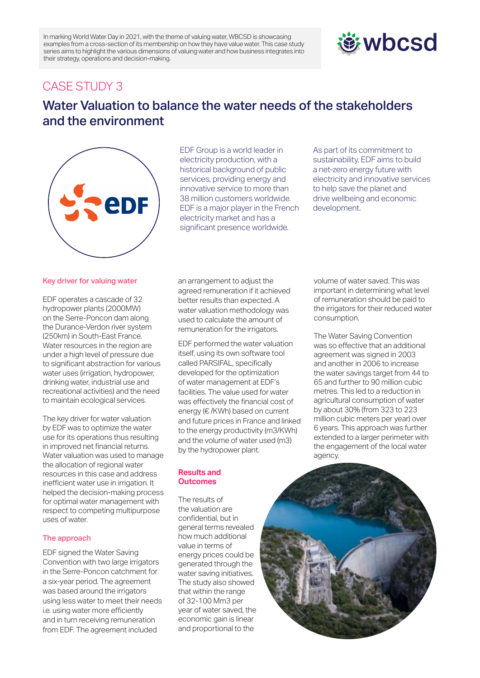In marking World Water Day in 2021, with the theme of valuing water, WBCSD is showcasing examples from a cross-section of its membership on how they have value water. This case study series aims to highlight the various dimensions of valuing water and how business integrates into their strategy, operations and decision-making.

# *む***wbcsd**

## CASE STUDY 3

# Water Valuation to balance the water needs of the stakeholders and the environment



EDF Group is a world leader in electricity production, with a historical background of public services, providing energy and innovative service to more than 38 million customers worldwide. EDF is a major player in the French electricity market and has a significant presence worldwide.

As part of its commitment to sustainability, EDF aims to build a net-zero energy future with electricity and innovative services to help save the planet and drive wellbeing and economic development.

## Key driver for valuing water

EDF operates a cascade of 32 hydropower plants (2000MW) on the Serre-Poncon dam along the Durance-Verdon river system (250km) in South-East France. Water resources in the region are under a high level of pressure due to significant abstraction for various water uses (irrigation, hydropower, drinking water, industrial use and recreational activities) and the need to maintain ecological services.

The key driver for water valuation by EDF was to optimize the water use for its operations thus resulting in improved net financial returns. Water valuation was used to manage the allocation of regional water resources in this case and address inefficient water use in irrigation. It helped the decision-making process for optimal water management with respect to competing multipurpose uses of water.

## The approach

EDF signed the Water Saving Convention with two large irrigators in the Serre-Poncon catchment for a six-year period. The agreement was based around the irrigators using less water to meet their needs i.e. using water more efficiently and in turn receiving remuneration from EDF. The agreement included

an arrangement to adjust the agreed remuneration if it achieved better results than expected. A water valuation methodology was used to calculate the amount of remuneration for the irrigators.

EDF performed the water valuation itself, using its own software tool called PARSIFAL, specifically developed for the optimization of water management at EDF's facilities. The value used for water was effectively the financial cost of energy (€ /KWh) based on current and future prices in France and linked to the energy productivity (m3/KWh) and the volume of water used (m3) by the hydropower plant.

#### **Results and Outcomes**

The results of the valuation are confidential, but in general terms revealed how much additional value in terms of energy prices could be generated through the water saving initiatives. The study also showed that within the range of 32-100 Mm3 per year of water saved, the economic gain is linear and proportional to the

volume of water saved. This was important in determining what level of remuneration should be paid to the irrigators for their reduced water consumption.

The Water Saving Convention was so effective that an additional agreement was signed in 2003 and another in 2006 to increase the water savings target from 44 to 65 and further to 90 million cubic metres. This led to a reduction in agricultural consumption of water by about 30% (from 323 to 223 million cubic meters per year) over 6 years. This approach was further extended to a larger perimeter with the engagement of the local water agency.